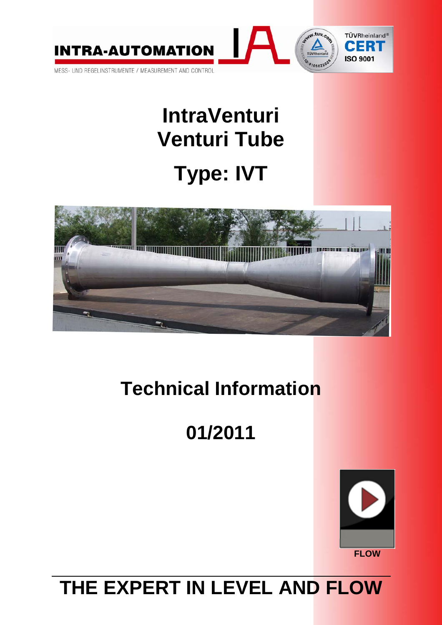

# **IntraVenturi Venturi Tube Type: IVT**



## **Technical Information**

# **01/2011**



### **THE EXPERT IN LEVEL AND FLOW**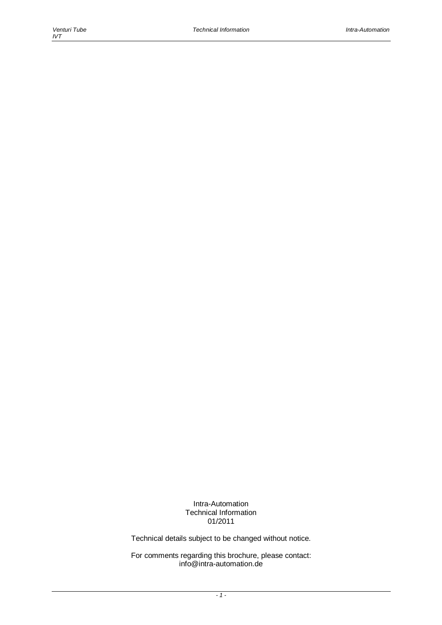Intra-Automation Technical Information 01/2011

Technical details subject to be changed without notice.

For comments regarding this brochure, please contact: info@intra-automation.de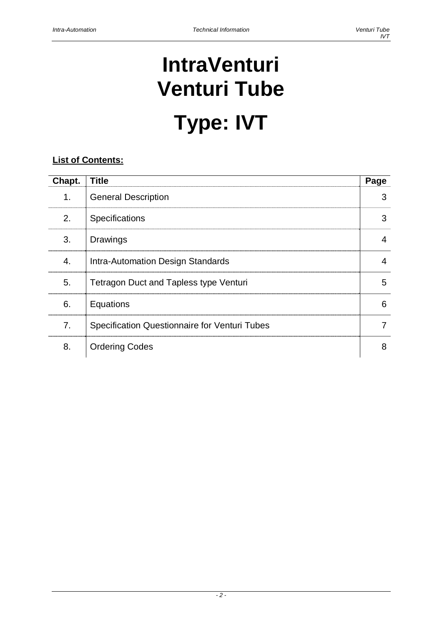# **IntraVenturi Venturi Tube Type: IVT**

### **List of Contents:**

| Chapt. | <b>Title</b>                                  | Page |
|--------|-----------------------------------------------|------|
| 1.     | <b>General Description</b>                    | 3    |
| 2.     | <b>Specifications</b>                         | 3    |
| 3.     | <b>Drawings</b>                               | 4    |
| 4.     | Intra-Automation Design Standards             | 4    |
| 5.     | <b>Tetragon Duct and Tapless type Venturi</b> | 5    |
| 6.     | Equations                                     | 6    |
| 7.     | Specification Questionnaire for Venturi Tubes |      |
| 8.     | <b>Ordering Codes</b>                         | 8    |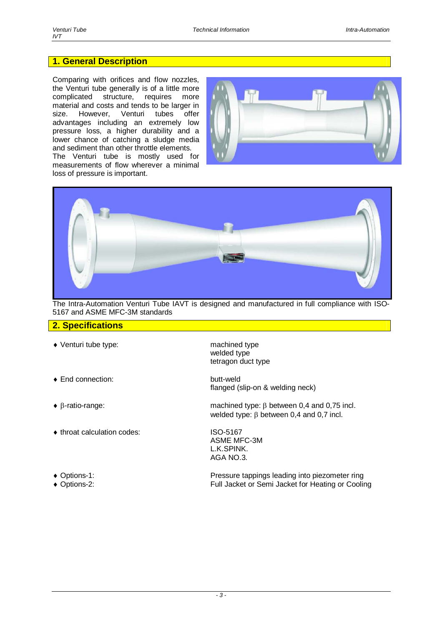#### **1. General Description**

Comparing with orifices and flow nozzles, the Venturi tube generally is of a little more complicated structure, requires more material and costs and tends to be larger in size. However, Venturi tubes offer advantages including an extremely low pressure loss, a higher durability and a lower chance of catching a sludge media and sediment than other throttle elements.

The Venturi tube is mostly used for measurements of flow wherever a minimal loss of pressure is important.





The Intra-Automation Venturi Tube IAVT is designed and manufactured in full compliance with ISO-5167 and ASME MFC-3M standards

#### **2. Specifications**

- Venturi tube type: machined type
- ◆ End connection: butt-weld
- 
- ◆ throat calculation codes: ISO-5167
- 
- 

 welded type tetragon duct type

flanged (slip-on & welding neck)

 $\bullet$   $\beta$ -ratio-range: machined type:  $\beta$  between 0,4 and 0,75 incl. welded type:  $\beta$  between 0,4 and 0,7 incl.

> ASME MFC-3M L.K.SPINK. AGA NO.3.

 Options-1: Pressure tappings leading into piezometer ring Options-2: Full Jacket or Semi Jacket for Heating or Cooling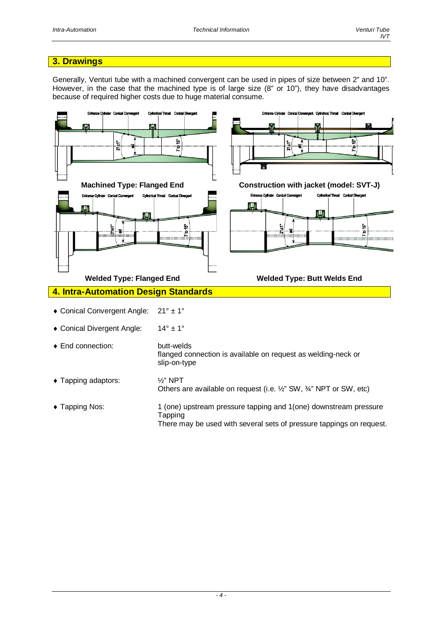#### **3. Drawings**

Generally, Venturi tube with a machined convergent can be used in pipes of size between 2" and 10". However, in the case that the machined type is of large size (8" or 10"), they have disadvantages because of required higher costs due to huge material consume.



• Tapping Nos: 1 (one) upstream pressure tapping and 1(one) downstream pressure Tapping There may be used with several sets of pressure tappings on request.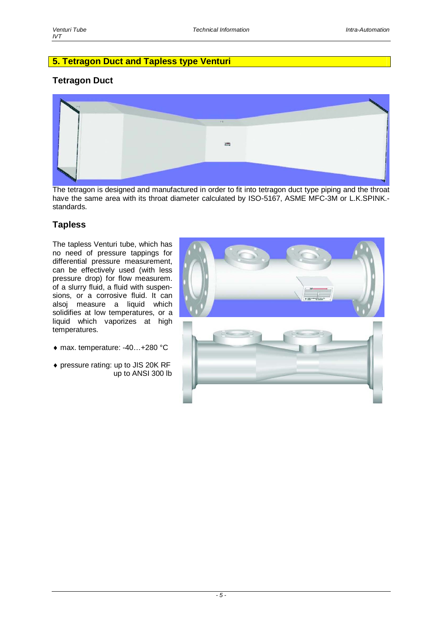#### **5. Tetragon Duct and Tapless type Venturi**

#### **Tetragon Duct**



The tetragon is designed and manufactured in order to fit into tetragon duct type piping and the throat have the same area with its throat diameter calculated by ISO-5167, ASME MFC-3M or L.K.SPINK. standards.

#### **Tapless**

The tapless Venturi tube, which has no need of pressure tappings for differential pressure measurement, can be effectively used (with less pressure drop) for flow measurem. of a slurry fluid, a fluid with suspensions, or a corrosive fluid. It can alsoj measure a liquid which solidifies at low temperatures, or a liquid which vaporizes at high temperatures.

- max. temperature: -40…+280 °C
- pressure rating: up to JIS 20K RF up to ANSI 300 lb

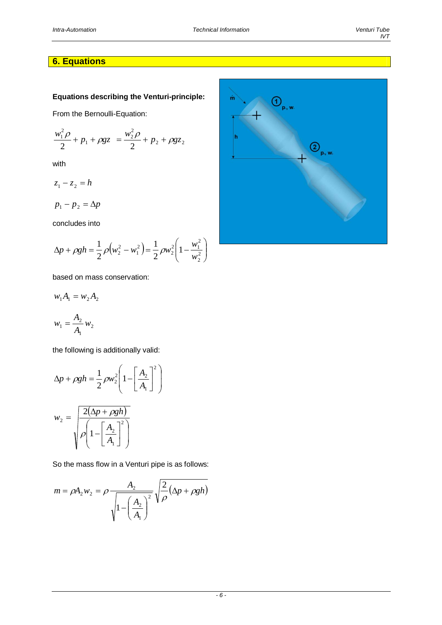#### **6. Equations**

#### **Equations describing the Venturi-principle:**

From the Bernoulli-Equation:

$$
\frac{w_1^2 \rho}{2} + p_1 + \rho gz = \frac{w_2^2 \rho}{2} + p_2 + \rho gz_2
$$

with

 $z_1 - z_2 = h$ 

 $p_1 - p_2 = \Delta p$ 

concludes into

$$
\Delta p + \rho g h = \frac{1}{2} \rho \left( w_2^2 - w_1^2 \right) = \frac{1}{2} \rho w_2^2 \left( 1 - \frac{w_1^2}{w_2^2} \right)
$$

based on mass conservation:

$$
w_1 A_1 = w_2 A_2
$$
  

$$
w_1 = \frac{A_2}{A_1} w_2
$$

1

the following is additionally valid:

$$
\Delta p + \rho g h = \frac{1}{2} \rho w_2^2 \left( 1 - \left[ \frac{A_2}{A_1} \right]^2 \right)
$$

$$
w_2 = \sqrt{\frac{2(\Delta p + \rho g h)}{\rho \left( 1 - \left[ \frac{A_2}{A_1} \right]^2 \right)}}
$$

So the mass flow in a Venturi pipe is as follows:

$$
m = \rho A_2 w_2 = \rho \frac{A_2}{\sqrt{1 - \left(\frac{A_2}{A_1}\right)^2}} \sqrt{\frac{2}{\rho} (\Delta p + \rho g h)}
$$

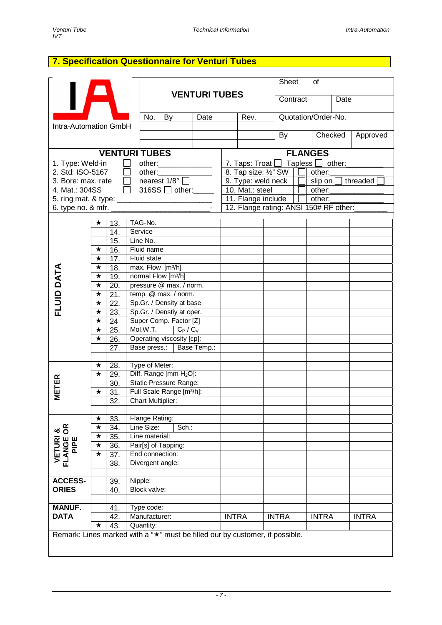#### **7. Specification Questionnaire for Venturi Tubes**

|                                                                              |         |     |                              |                                                         |      |                                                               |  | Sheet<br>of                            |              |  |              |          |              |
|------------------------------------------------------------------------------|---------|-----|------------------------------|---------------------------------------------------------|------|---------------------------------------------------------------|--|----------------------------------------|--------------|--|--------------|----------|--------------|
|                                                                              |         |     | <b>VENTURI TUBES</b>         |                                                         |      |                                                               |  | Contract                               |              |  | Date         |          |              |
| Intra-Automation GmbH                                                        |         | No. | By                           | Date                                                    | Rev. |                                                               |  | Quotation/Order-No.                    |              |  |              |          |              |
|                                                                              |         |     |                              |                                                         |      |                                                               |  |                                        | By           |  | Checked      | Approved |              |
|                                                                              |         |     | <b>VENTURI TUBES</b>         |                                                         |      |                                                               |  |                                        |              |  |              |          |              |
| 1. Type: Weld-in                                                             |         |     |                              | other:_______________                                   |      | <b>FLANGES</b><br>7. Taps: Troat $\Box$ Tapless $\Box$ other: |  |                                        |              |  |              |          |              |
| 2. Std: ISO-5167                                                             |         |     | $\Box$                       | other:                                                  |      | 8. Tap size: 1/2" SW  <br>other:                              |  |                                        |              |  |              |          |              |
| 3. Bore: max. rate                                                           |         |     | $\Box$ nearest $1/8^{\circ}$ |                                                         |      | threaded<br>9. Type: weld neck<br>slip on $\square$           |  |                                        |              |  |              |          |              |
| 4. Mat.: 304SS                                                               |         |     |                              | 316SS $\Box$ other: $\_\_\_\_\_\_\_\$                   |      | 10. Mat.: steel<br>other:                                     |  |                                        |              |  |              |          |              |
|                                                                              |         |     |                              |                                                         |      | 11. Flange include  <br>$\Box$ other:                         |  |                                        |              |  |              |          |              |
| 6. type no. $&$ mfr. $\overline{a}$                                          |         |     |                              |                                                         |      |                                                               |  | 12. Flange rating: ANSI 150# RF other: |              |  |              |          |              |
|                                                                              |         |     |                              |                                                         |      |                                                               |  |                                        |              |  |              |          |              |
|                                                                              | ★       | 13. | TAG-No.                      |                                                         |      |                                                               |  |                                        |              |  |              |          |              |
|                                                                              |         | 14. | Service                      |                                                         |      |                                                               |  |                                        |              |  |              |          |              |
|                                                                              |         | 15. | Line No.                     |                                                         |      |                                                               |  |                                        |              |  |              |          |              |
|                                                                              | $\star$ | 16. | Fluid name                   |                                                         |      |                                                               |  |                                        |              |  |              |          |              |
|                                                                              | $\star$ | 17. | Fluid state                  |                                                         |      |                                                               |  |                                        |              |  |              |          |              |
| FLUID DATA                                                                   | $\star$ | 18. | max. Flow [m3/h]             |                                                         |      |                                                               |  |                                        |              |  |              |          |              |
|                                                                              | $\star$ | 19. |                              | normal Flow [m3/h]                                      |      |                                                               |  |                                        |              |  |              |          |              |
|                                                                              | $\star$ | 20. |                              | pressure @ max. / norm.                                 |      |                                                               |  |                                        |              |  |              |          |              |
|                                                                              | $\star$ | 21. |                              | temp. @ max. / norm.                                    |      |                                                               |  |                                        |              |  |              |          |              |
|                                                                              | $\star$ | 22. |                              | Sp.Gr. / Density at base                                |      |                                                               |  |                                        |              |  |              |          |              |
|                                                                              | $\star$ | 23. |                              | Sp.Gr. / Denstiy at oper.<br>Super Comp. Factor [Z]     |      |                                                               |  |                                        |              |  |              |          |              |
|                                                                              | $\star$ | 24  |                              | Mol.W.T.<br>$C_P / C_V$                                 |      |                                                               |  |                                        |              |  |              |          |              |
|                                                                              | $\star$ | 25. |                              |                                                         |      |                                                               |  |                                        |              |  |              |          |              |
|                                                                              | $\star$ | 26. |                              | Operating viscosity [cp]:<br>Base press.:   Base Temp.: |      |                                                               |  |                                        |              |  |              |          |              |
|                                                                              |         | 27. |                              |                                                         |      |                                                               |  |                                        |              |  |              |          |              |
|                                                                              | $\star$ | 28. | Type of Meter:               |                                                         |      |                                                               |  |                                        |              |  |              |          |              |
|                                                                              | $\star$ | 29. |                              | Diff. Range [mm H <sub>2</sub> O]:                      |      |                                                               |  |                                        |              |  |              |          |              |
|                                                                              |         | 30. |                              | <b>Static Pressure Range:</b>                           |      |                                                               |  |                                        |              |  |              |          |              |
| <b>METER</b>                                                                 | ★       | 31. |                              | Full Scale Range [m3/h]:                                |      |                                                               |  |                                        |              |  |              |          |              |
|                                                                              |         | 32. |                              | <b>Chart Multiplier:</b>                                |      |                                                               |  |                                        |              |  |              |          |              |
|                                                                              |         |     |                              |                                                         |      |                                                               |  |                                        |              |  |              |          |              |
|                                                                              | ★       | 33. | Flange Rating:               |                                                         |      |                                                               |  |                                        |              |  |              |          |              |
| $\frac{\alpha}{\alpha}$                                                      | $\star$ | 34. | Line Size:                   | Sch.:                                                   |      |                                                               |  |                                        |              |  |              |          |              |
| య                                                                            | $\star$ | 35. | Line material:               |                                                         |      |                                                               |  |                                        |              |  |              |          |              |
| <b>VETURI<br/>FLANGE</b><br>PIPE                                             | $\star$ | 36. | Pair[s] of Tapping:          |                                                         |      |                                                               |  |                                        |              |  |              |          |              |
|                                                                              | ★       | 37. |                              | End connection:                                         |      |                                                               |  |                                        |              |  |              |          |              |
|                                                                              |         | 38. |                              | Divergent angle:                                        |      |                                                               |  |                                        |              |  |              |          |              |
|                                                                              |         |     |                              |                                                         |      |                                                               |  |                                        |              |  |              |          |              |
| <b>ACCESS-</b>                                                               |         | 39. | Nipple:                      |                                                         |      |                                                               |  |                                        |              |  |              |          |              |
| <b>ORIES</b>                                                                 |         | 40. |                              | Block valve:                                            |      |                                                               |  |                                        |              |  |              |          |              |
| <b>MANUF.</b>                                                                |         | 41. | Type code:                   |                                                         |      |                                                               |  |                                        |              |  |              |          |              |
| <b>DATA</b>                                                                  |         | 42. | Manufacturer:                |                                                         |      | <b>INTRA</b>                                                  |  |                                        | <b>INTRA</b> |  | <b>INTRA</b> |          | <b>INTRA</b> |
|                                                                              | ★       | 43. | Quantity:                    |                                                         |      |                                                               |  |                                        |              |  |              |          |              |
| Remark: Lines marked with a "*" must be filled our by customer, if possible. |         |     |                              |                                                         |      |                                                               |  |                                        |              |  |              |          |              |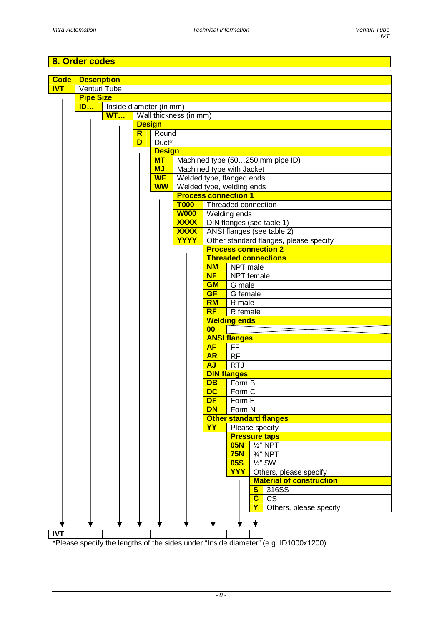#### **8. Order codes**



\*Please specify the lengths of the sides under "Inside diameter" (e.g. ID1000x1200).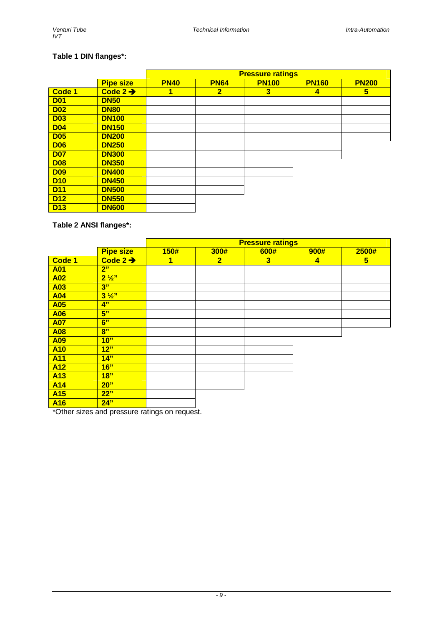#### **Table 1 DIN flanges\*:**

|            |                      | <b>Pressure ratings</b> |                |              |              |              |  |  |  |
|------------|----------------------|-------------------------|----------------|--------------|--------------|--------------|--|--|--|
|            | <b>Pipe size</b>     | <b>PN40</b>             | <b>PN64</b>    | <b>PN100</b> | <b>PN160</b> | <b>PN200</b> |  |  |  |
| Code 1     | Code $2 \rightarrow$ |                         | $\overline{2}$ | 3            | 4            | 5            |  |  |  |
| <b>D01</b> | <b>DN50</b>          |                         |                |              |              |              |  |  |  |
| <b>D02</b> | <b>DN80</b>          |                         |                |              |              |              |  |  |  |
| <b>D03</b> | <b>DN100</b>         |                         |                |              |              |              |  |  |  |
| <b>D04</b> | <b>DN150</b>         |                         |                |              |              |              |  |  |  |
| <b>D05</b> | <b>DN200</b>         |                         |                |              |              |              |  |  |  |
| <b>D06</b> | <b>DN250</b>         |                         |                |              |              |              |  |  |  |
| <b>D07</b> | <b>DN300</b>         |                         |                |              |              |              |  |  |  |
| <b>D08</b> | <b>DN350</b>         |                         |                |              |              |              |  |  |  |
| <b>D09</b> | <b>DN400</b>         |                         |                |              |              |              |  |  |  |
| <b>D10</b> | <b>DN450</b>         |                         |                |              |              |              |  |  |  |
| <b>D11</b> | <b>DN500</b>         |                         |                |              |              |              |  |  |  |
| <b>D12</b> | <b>DN550</b>         |                         |                |              |              |              |  |  |  |
| <b>D13</b> | <b>DN600</b>         |                         |                |              |              |              |  |  |  |

**Table 2 ANSI flanges\*:** 

|                 |                      | <b>Pressure ratings</b> |                |                         |                |                |  |  |  |  |
|-----------------|----------------------|-------------------------|----------------|-------------------------|----------------|----------------|--|--|--|--|
|                 | <b>Pipe size</b>     | 150#                    | 300#           | 600#                    | 900#           | 2500#          |  |  |  |  |
| Code 1          | Code $2 \rightarrow$ | 1                       | $\overline{2}$ | $\overline{\mathbf{3}}$ | $\overline{4}$ | 5 <sub>5</sub> |  |  |  |  |
| <b>A01</b>      | 2"                   |                         |                |                         |                |                |  |  |  |  |
| <b>A02</b>      | $2\frac{1}{2}$       |                         |                |                         |                |                |  |  |  |  |
| A03             | 3"                   |                         |                |                         |                |                |  |  |  |  |
| <b>A04</b>      | $3\frac{1}{2}$       |                         |                |                         |                |                |  |  |  |  |
| <b>A05</b>      | 4"                   |                         |                |                         |                |                |  |  |  |  |
| <b>A06</b>      | 5"                   |                         |                |                         |                |                |  |  |  |  |
| <b>A07</b>      | 6"                   |                         |                |                         |                |                |  |  |  |  |
| <b>A08</b>      | 8"                   |                         |                |                         |                |                |  |  |  |  |
| <b>A09</b>      | 10"                  |                         |                |                         |                |                |  |  |  |  |
| <b>A10</b>      | 12"                  |                         |                |                         |                |                |  |  |  |  |
| <b>A11</b>      | 14"                  |                         |                |                         |                |                |  |  |  |  |
| <b>A12</b>      | 16"                  |                         |                |                         |                |                |  |  |  |  |
| A <sub>13</sub> | 18"                  |                         |                |                         |                |                |  |  |  |  |
| <b>A14</b>      | 20"                  |                         |                |                         |                |                |  |  |  |  |
| A <sub>15</sub> | 22"                  |                         |                |                         |                |                |  |  |  |  |
| A <sub>16</sub> | 24"                  |                         |                |                         |                |                |  |  |  |  |

\*Other sizes and pressure ratings on request.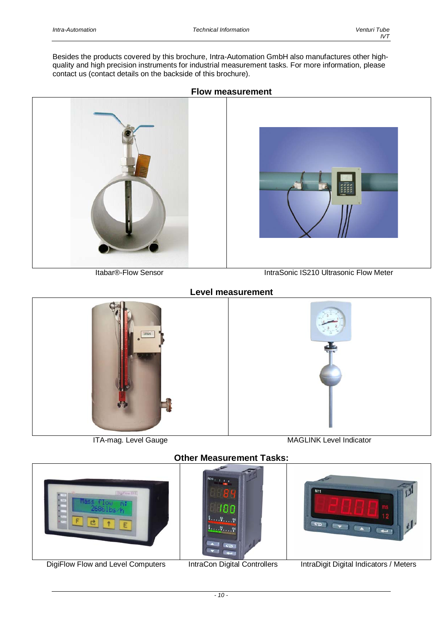Besides the products covered by this brochure, Intra-Automation GmbH also manufactures other highquality and high precision instruments for industrial measurement tasks. For more information, please contact us (contact details on the backside of this brochure).



#### **Flow measurement**



Itabar®-Flow Sensor **IntraSonic IS210 Ultrasonic Flow Meter** 

#### **Level measurement**



ITA-mag. Level Gauge MAGLINK Level Indicator